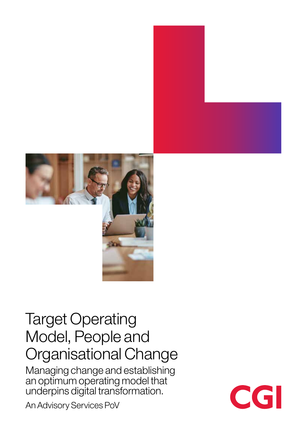

# Target Operating Model, People and Organisational Change

Managing change and establishing an optimum operating model that underpins digital transformation.

An Advisory Services PoV

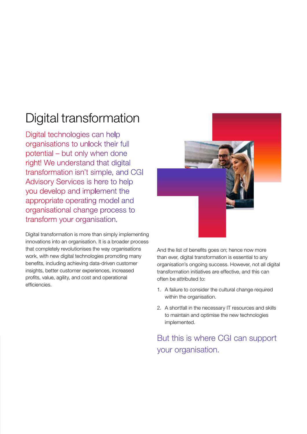# Digital transformation

Digital technologies can help organisations to unlock their full potential – but only when done right! We understand that digital transformation isn't simple, and CGI Advisory Services is here to help you develop and implement the appropriate operating model and organisational change process to transform your organisation.

Digital transformation is more than simply implementing innovations into an organisation. It is a broader process that completely revolutionises the way organisations work, with new digital technologies promoting many benefits, including achieving data-driven customer insights, better customer experiences, increased profits, value, agility, and cost and operational efficiencies.



And the list of benefits goes on; hence now more than ever, digital transformation is essential to any organisation's ongoing success. However, not all digital transformation initiatives are effective, and this can often be attributed to:

- 1. A failure to consider the cultural change required within the organisation.
- 2. A shortfall in the necessary IT resources and skills to maintain and optimise the new technologies implemented.

But this is where CGI can support your organisation.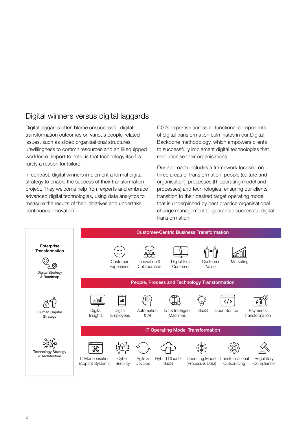### Digital winners versus digital laggards

Digital laggards often blame unsuccessful digital transformation outcomes on various people-related issues, such as siloed organisational structures, unwillingness to commit resources and an ill-equipped workforce. Import to note, is that technology itself is rarely a reason for failure.

In contrast, digital winners implement a formal digital strategy to enable the success of their transformation project. They welcome help from experts and embrace advanced digital technologies, using data analytics to measure the results of their initiatives and undertake continuous innovation.

CGI's expertise across all functional components of digital transformation culminates in our Digital Backbone methodology, which empowers clients to successfully implement digital technologies that revolutionise their organisations.

Our approach includes a framework focused on three areas of transformation, people (culture and organisation), processes (IT operating model and processes) and technologies, ensuring our clients transition to their desired target operating model that is underpinned by best practice organisational change management to guarantee successful digital transformation.

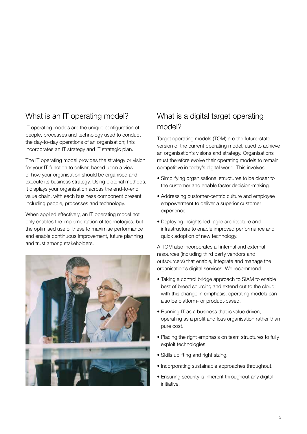### What is an IT operating model?

IT operating models are the unique configuration of people, processes and technology used to conduct the day-to-day operations of an organisation; this incorporates an IT strategy and IT strategic plan.

The IT operating model provides the strategy or vision for your IT function to deliver, based upon a view of how your organisation should be organised and execute its business strategy. Using pictorial methods, it displays your organisation across the end-to-end value chain, with each business component present, including people, processes and technology.

When applied effectively, an IT operating model not only enables the implementation of technologies, but the optimised use of these to maximise performance and enable continuous improvement, future planning and trust among stakeholders.



### What is a digital target operating model?

Target operating models (TOM) are the future-state version of the current operating model, used to achieve an organisation's visions and strategy. Organisations must therefore evolve their operating models to remain competitive in today's digital world. This involves:

- Simplifying organisational structures to be closer to the customer and enable faster decision-making.
- Addressing customer-centric culture and employee empowerment to deliver a superior customer experience.
- Deploying insights-led, agile architecture and infrastructure to enable improved performance and quick adoption of new technology.

A TOM also incorporates all internal and external resources (including third party vendors and outsourcers) that enable, integrate and manage the organisation's digital services. We recommend:

- Taking a control bridge approach to SIAM to enable best of breed sourcing and extend out to the cloud; with this change in emphasis, operating models can also be platform- or product-based.
- Running IT as a business that is value driven, operating as a profit and loss organisation rather than pure cost.
- Placing the right emphasis on team structures to fully exploit technologies.
- Skills uplifting and right sizing.
- Incorporating sustainable approaches throughout.
- Ensuring security is inherent throughout any digital initiative.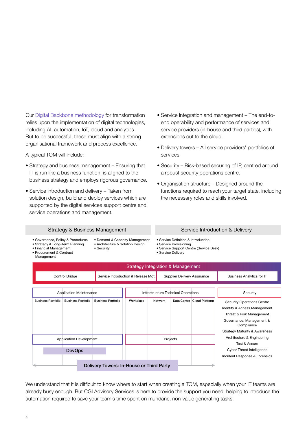Our [Digital Backbone methodology](https://www.cgi.com/uk/en-gb/brochure/service-advisory/the-digital-backbone) for transformation relies upon the implementation of digital technologies, including AI, automation, IoT, cloud and analytics. But to be successful, these must align with a strong organisational framework and process excellence.

A typical TOM will include:

- Strategy and business management Ensuring that IT is run like a business function, is aligned to the business strategy and employs rigorous governance.
- Service introduction and delivery Taken from solution design, build and deploy services which are supported by the digital services support centre and service operations and management.
- Service integration and management The end-toend operability and performance of services and service providers (in-house and third parties), with extensions out to the cloud.
- Delivery towers All service providers' portfolios of services.
- Security Risk-based securing of IP, centred around a robust security operations centre.
- Organisation structure Designed around the functions required to reach your target state, including the necessary roles and skills involved.

| <b>Strategy &amp; Business Management</b> |
|-------------------------------------------|
|-------------------------------------------|

- Governance, Policy & Procedures
- Strategy & Long-Term Planning
	- Security
- Procurement & Contract

#### • Demand & Capacity Management

- Architecture & Solution Design
- Financial Management
- Management

#### Service Introduction & Delivery

• Service Definition & Introduction

- Service Provisioning
- Service Support Centre (Service Desk) • Service Delivery

| Strategy Integration & Management |                           |                                          |                                     |         |                             |                                             |                                                                                                                                                                                     |  |  |
|-----------------------------------|---------------------------|------------------------------------------|-------------------------------------|---------|-----------------------------|---------------------------------------------|-------------------------------------------------------------------------------------------------------------------------------------------------------------------------------------|--|--|
| Control Bridge                    |                           |                                          | Service Introduction & Release Mgt. |         | Supplier Delivery Assurance |                                             | Business Analytics for IT                                                                                                                                                           |  |  |
|                                   |                           |                                          |                                     |         |                             |                                             |                                                                                                                                                                                     |  |  |
| <b>Application Maintenance</b>    |                           | Infrastructure Technical Operations      |                                     |         | Security                    |                                             |                                                                                                                                                                                     |  |  |
| <b>Business Portfolio</b>         | <b>Business Portfolio</b> | <b>Business Portfolio</b>                | Workplace                           | Network |                             | Data Centre Cloud Platform                  | <b>Security Operations Centre</b><br>Identity & Access Management<br>Threat & Risk Management<br>Governance, Management &<br>Compliance<br><b>Strategy Maturity &amp; Awareness</b> |  |  |
| <b>Application Development</b>    |                           |                                          | Projects                            |         |                             | Architecture & Engineering<br>Test & Assure |                                                                                                                                                                                     |  |  |
| <b>DevOps</b>                     |                           |                                          |                                     |         |                             | <b>Cyber Threat Intelligence</b>            |                                                                                                                                                                                     |  |  |
|                                   |                           | Delivery Towers: In-House or Third Party |                                     |         |                             |                                             | Incident Response & Forensics                                                                                                                                                       |  |  |

We understand that it is difficult to know where to start when creating a TOM, especially when your IT teams are already busy enough. But CGI Advisory Services is here to provide the support you need, helping to introduce the automation required to save your team's time spent on mundane, non-value generating tasks.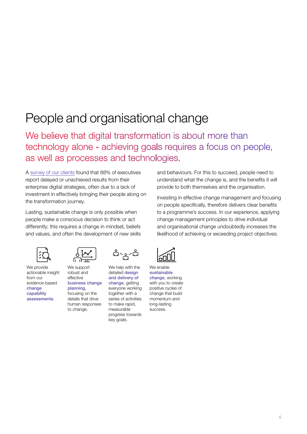# People and organisational change

We believe that digital transformation is about more than technology alone - achieving goals requires a focus on people, as well as processes and technologies.

A [survey of our clients](https://www.cgi.com/en/voice-of-our-clients) found that 88% of executives report delayed or unachieved results from their enterprise digital strategies, often due to a lack of investment in effectively bringing their people along on the transformation journey.

Lasting, sustainable change is only possible when people make a conscious decision to think or act differently; this requires a change in mindset, beliefs and values, and often the development of new skills and behaviours. For this to succeed, people need to understand what the change is, and the benefits it will provide to both themselves and the organisation.

Investing in effective change management and focusing on people specifically, therefore delivers clear benefits to a programme's success. In our experience, applying change management principles to drive individual and organisational change undoubtedly increases the likelihood of achieving or exceeding project objectives.



We provide actionable insight from our evidence-based change capability assessments.



We support robust and effective business change planning, focusing on the details that drive human responses to change.



We help with the detailed design and delivery of change, getting everyone working together with a series of activities to make rapid measurable progress towards key goals.

| L |  |
|---|--|
|   |  |

We enable sustainable change, working with you to create positive cycles of change that build momentum and long-lasting success.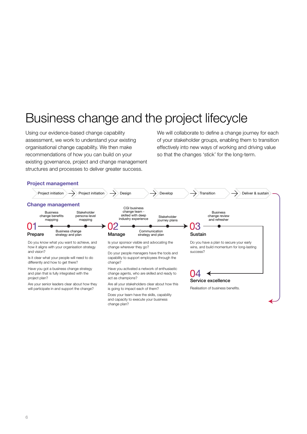# Business change and the project lifecycle

Using our evidence-based change capability assessment, we work to understand your existing organisational change capability. We then make recommendations of how you can build on your existing governance, project and change management structures and processes to deliver greater success.

We will collaborate to define a change journey for each of your stakeholder groups, enabling them to transition effectively into new ways of working and driving value so that the changes 'stick' for the long-term.

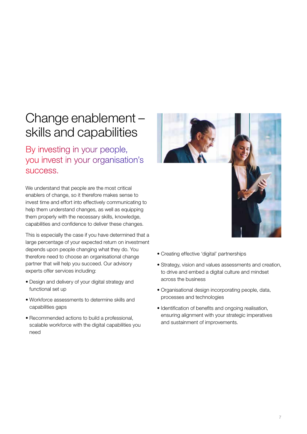## Change enablement – skills and capabilities

By investing in your people, you invest in your organisation's success.

We understand that people are the most critical enablers of change, so it therefore makes sense to invest time and effort into effectively communicating to help them understand changes, as well as equipping them properly with the necessary skills, knowledge, capabilities and confidence to deliver these changes.

This is especially the case if you have determined that a large percentage of your expected return on investment depends upon people changing what they do. You therefore need to choose an organisational change partner that will help you succeed. Our advisory experts offer services including:

- Design and delivery of your digital strategy and functional set up
- Workforce assessments to determine skills and capabilities gaps
- Recommended actions to build a professional, scalable workforce with the digital capabilities you need



- Creating effective 'digital' partnerships
- Strategy, vision and values assessments and creation, to drive and embed a digital culture and mindset across the business
- Organisational design incorporating people, data, processes and technologies
- Identification of benefits and ongoing realisation, ensuring alignment with your strategic imperatives and sustainment of improvements.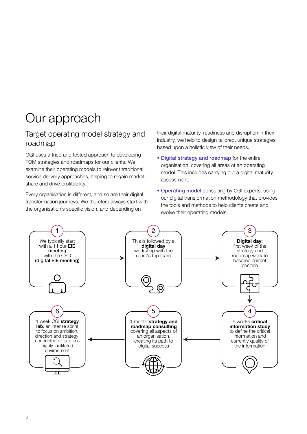# Our approach

### Target operating model strategy and roadmap

CGI uses a tried and tested approach to developing TOM strategies and roadmaps for our clients. We examine their operating models to reinvent traditional service delivery approaches, helping to regain market share and drive profitability.

Every organisation is different, and so are their digital transformation journeys. We therefore always start with the organisation's specific vision, and depending on

their digital maturity, readiness and disruption in their industry, we help to design tailored, unique strategies based upon a holistic view of their needs.

- Digital strategy and roadmap for the entire organisation, covering all areas of an operating model. This includes carrying out a digital maturity assessment.
- Operating model consulting by CGI experts, using our digital transformation methodology that provides the tools and methods to help clients create and evolve their operating models.

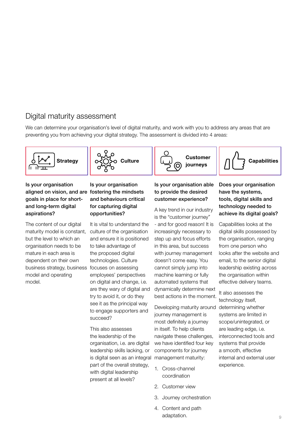### Digital maturity assessment

We can determine your organisation's level of digital maturity, and work with you to address any areas that are preventing you from achieving your digital strategy. The assessment is divided into 4 areas:





Is your organisation aligned on vision, and are fostering the mindsets goals in place for shortand long-term digital aspirations?

The content of our digital maturity model is constant, but the level to which an organisation needs to be mature in each area is dependent on their own business strategy, business model and operating model.

### Is your organisation and behaviours critical for capturing digital opportunities?

It is vital to understand the culture of the organisation and ensure it is positioned to take advantage of the proposed digital technologies. Culture focuses on assessing employees' perspectives on digital and change, i.e. are they wary of digital and try to avoid it, or do they see it as the principal way to engage supporters and succeed?

This also assesses the leadership of the organisation, i.e. are digital leadership skills lacking, or is digital seen as an integral part of the overall strategy, with digital leadership present at all levels?

#### Is your organisation able to provide the desired customer experience?

A key trend in our industry is the "customer journey" - and for good reason! It is increasingly necessary to step up and focus efforts in this area, but success with journey management doesn't come easy. You cannot simply jump into machine learning or fully automated systems that dynamically determine next best actions in the moment.

Developing maturity around determining whether journey management is most definitely a journey in itself. To help clients navigate these challenges, we have identified four key components for journey management maturity:

- 1. Cross-channel coordination
- 2. Customer view
- 3. Journey orchestration
- 4. Content and path adaptation.

#### Does your organisation have the systems, tools, digital skills and technology needed to achieve its digital goals?

Capabilities

Capabilities looks at the digital skills possessed by the organisation, ranging from one person who looks after the website and email, to the senior digital leadership existing across the organisation within effective delivery teams.

It also assesses the technology itself, systems are limited in scope/unintegrated, or are leading edge, i.e. interconnected tools and systems that provide a smooth, effective internal and external user experience.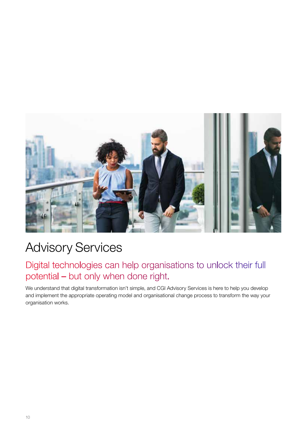

# Advisory Services

### Digital technologies can help organisations to unlock their full potential – but only when done right.

We understand that digital transformation isn't simple, and CGI Advisory Services is here to help you develop and implement the appropriate operating model and organisational change process to transform the way your organisation works.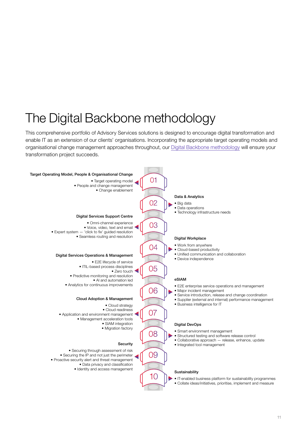# The Digital Backbone methodology

This comprehensive portfolio of Advisory Services solutions is designed to encourage digital transformation and enable IT as an extension of our clients' organisations. Incorporating the appropriate target operating models and organisational change management approaches throughout, our [Digital Backbone methodology](https://www.cgi.com/uk/en-gb/brochure/service-advisory/the-digital-backbone) will ensure your transformation project succeeds.